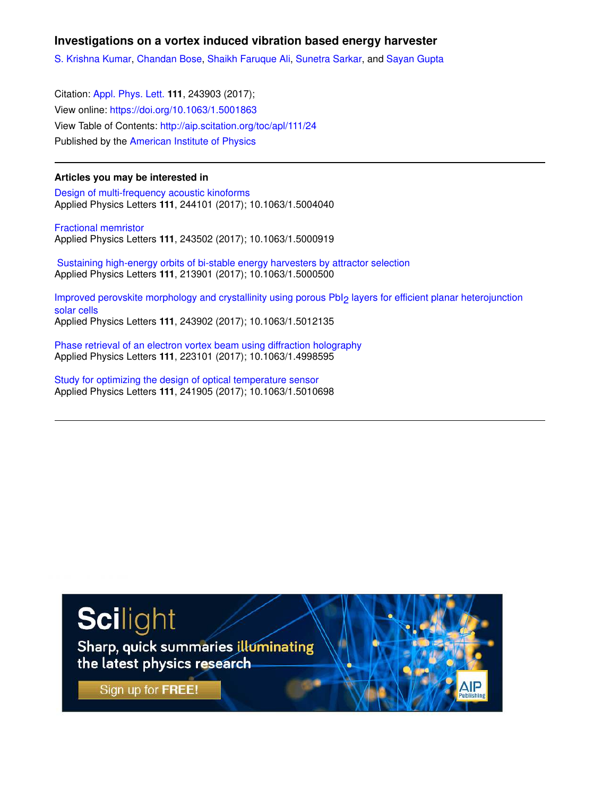## **Investigations on a vortex induced vibration based energy harvester**

S. Krishna Kumar, Chandan Bose, Shaikh Faruque Ali, Sunetra Sarkar, and Sayan Gupta

Citation: Appl. Phys. Lett. **111**, 243903 (2017); View online: https://doi.org/10.1063/1.5001863 View Table of Contents: http://aip.scitation.org/toc/apl/111/24 Published by the American Institute of Physics

## **Articles you may be interested in**

Design of multi-frequency acoustic kinoforms Applied Physics Letters **111**, 244101 (2017); 10.1063/1.5004040

Fractional memristor Applied Physics Letters **111**, 243502 (2017); 10.1063/1.5000919

 Sustaining high-energy orbits of bi-stable energy harvesters by attractor selection Applied Physics Letters **111**, 213901 (2017); 10.1063/1.5000500

Improved perovskite morphology and crystallinity using porous PbI2 layers for efficient planar heterojunction solar cells Applied Physics Letters **111**, 243902 (2017); 10.1063/1.5012135

Phase retrieval of an electron vortex beam using diffraction holography Applied Physics Letters **111**, 223101 (2017); 10.1063/1.4998595

Study for optimizing the design of optical temperature sensor Applied Physics Letters **111**, 241905 (2017); 10.1063/1.5010698

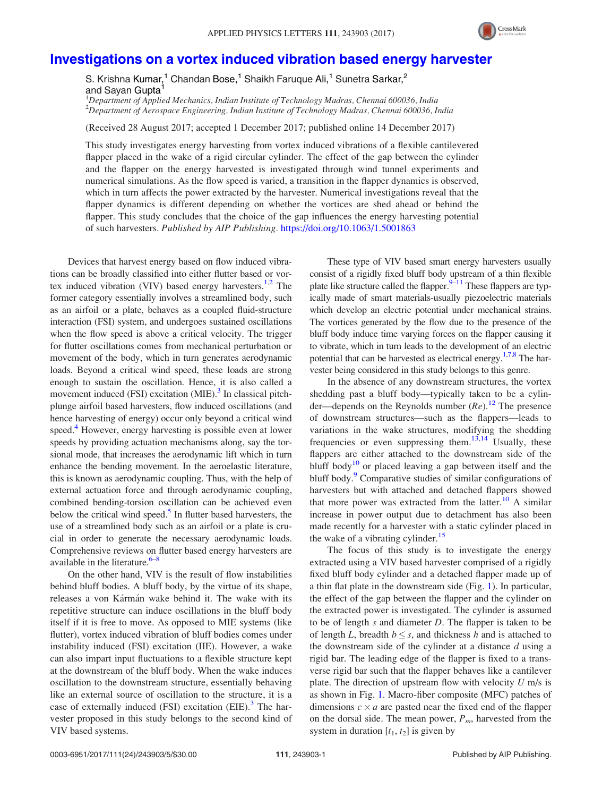

## Investigations on a vortex induced vibration based energy harvester

S. Krishna Kumar,<sup>1</sup> Chandan Bose,<sup>1</sup> Shaikh Faruque Ali,<sup>1</sup> Sunetra Sarkar,<sup>2</sup> and Savan Gupta<sup>1</sup> <sup>1</sup>*Department of Applied Mechanics, Indian Institute of Technology Madras, Chennai 600036, India*

<sup>2</sup>*Department of Aerospace Engineering, Indian Institute of Technology Madras, Chennai 600036, India*

(Received 28 August 2017; accepted 1 December 2017; published online 14 December 2017)

This study investigates energy harvesting from vortex induced vibrations of a flexible cantilevered flapper placed in the wake of a rigid circular cylinder. The effect of the gap between the cylinder and the flapper on the energy harvested is investigated through wind tunnel experiments and numerical simulations. As the flow speed is varied, a transition in the flapper dynamics is observed, which in turn affects the power extracted by the harvester. Numerical investigations reveal that the flapper dynamics is different depending on whether the vortices are shed ahead or behind the flapper. This study concludes that the choice of the gap influences the energy harvesting potential of such harvesters. *Published by AIP Publishing.* https://doi.org/10.1063/1.5001863

Devices that harvest energy based on flow induced vibrations can be broadly classified into either flutter based or vortex induced vibration (VIV) based energy harvesters.<sup>1,2</sup> The former category essentially involves a streamlined body, such as an airfoil or a plate, behaves as a coupled fluid-structure interaction (FSI) system, and undergoes sustained oscillations when the flow speed is above a critical velocity. The trigger for flutter oscillations comes from mechanical perturbation or movement of the body, which in turn generates aerodynamic loads. Beyond a critical wind speed, these loads are strong enough to sustain the oscillation. Hence, it is also called a movement induced (FSI) excitation (MIE).<sup>3</sup> In classical pitchplunge airfoil based harvesters, flow induced oscillations (and hence harvesting of energy) occur only beyond a critical wind speed.<sup>4</sup> However, energy harvesting is possible even at lower speeds by providing actuation mechanisms along, say the torsional mode, that increases the aerodynamic lift which in turn enhance the bending movement. In the aeroelastic literature, this is known as aerodynamic coupling. Thus, with the help of external actuation force and through aerodynamic coupling, combined bending-torsion oscillation can be achieved even below the critical wind speed.<sup>5</sup> In flutter based harvesters, the use of a streamlined body such as an airfoil or a plate is crucial in order to generate the necessary aerodynamic loads. Comprehensive reviews on flutter based energy harvesters are available in the literature. $6-8$ 

On the other hand, VIV is the result of flow instabilities behind bluff bodies. A bluff body, by the virtue of its shape, releases a von Kármán wake behind it. The wake with its repetitive structure can induce oscillations in the bluff body itself if it is free to move. As opposed to MIE systems (like flutter), vortex induced vibration of bluff bodies comes under instability induced (FSI) excitation (IIE). However, a wake can also impart input fluctuations to a flexible structure kept at the downstream of the bluff body. When the wake induces oscillation to the downstream structure, essentially behaving like an external source of oscillation to the structure, it is a case of externally induced (FSI) excitation (EIE).<sup>3</sup> The harvester proposed in this study belongs to the second kind of VIV based systems.

These type of VIV based smart energy harvesters usually consist of a rigidly fixed bluff body upstream of a thin flexible plate like structure called the flapper. $9-11$  These flappers are typically made of smart materials-usually piezoelectric materials which develop an electric potential under mechanical strains. The vortices generated by the flow due to the presence of the bluff body induce time varying forces on the flapper causing it to vibrate, which in turn leads to the development of an electric potential that can be harvested as electrical energy.<sup>1,7,8</sup> The harvester being considered in this study belongs to this genre.

In the absence of any downstream structures, the vortex shedding past a bluff body—typically taken to be a cylinder—depends on the Reynolds number (*Re*).<sup>12</sup> The presence of downstream structures—such as the flappers—leads to variations in the wake structures, modifying the shedding frequencies or even suppressing them.<sup>13,14</sup> Usually, these flappers are either attached to the downstream side of the bluff body<sup>10</sup> or placed leaving a gap between itself and the bluff body.<sup>9</sup> Comparative studies of similar configurations of harvesters but with attached and detached flappers showed that more power was extracted from the latter.<sup>10</sup> A similar increase in power output due to detachment has also been made recently for a harvester with a static cylinder placed in the wake of a vibrating cylinder.<sup>15</sup>

The focus of this study is to investigate the energy extracted using a VIV based harvester comprised of a rigidly fixed bluff body cylinder and a detached flapper made up of a thin flat plate in the downstream side (Fig. 1). In particular, the effect of the gap between the flapper and the cylinder on the extracted power is investigated. The cylinder is assumed to be of length *s* and diameter *D*. The flapper is taken to be of length *L*, breadth  $b \leq s$ , and thickness *h* and is attached to the downstream side of the cylinder at a distance *d* using a rigid bar. The leading edge of the flapper is fixed to a transverse rigid bar such that the flapper behaves like a cantilever plate. The direction of upstream flow with velocity *U* m/s is as shown in Fig. 1. Macro-fiber composite (MFC) patches of dimensions  $c \times a$  are pasted near the fixed end of the flapper on the dorsal side. The mean power, *Pm*, harvested from the system in duration  $[t_1, t_2]$  is given by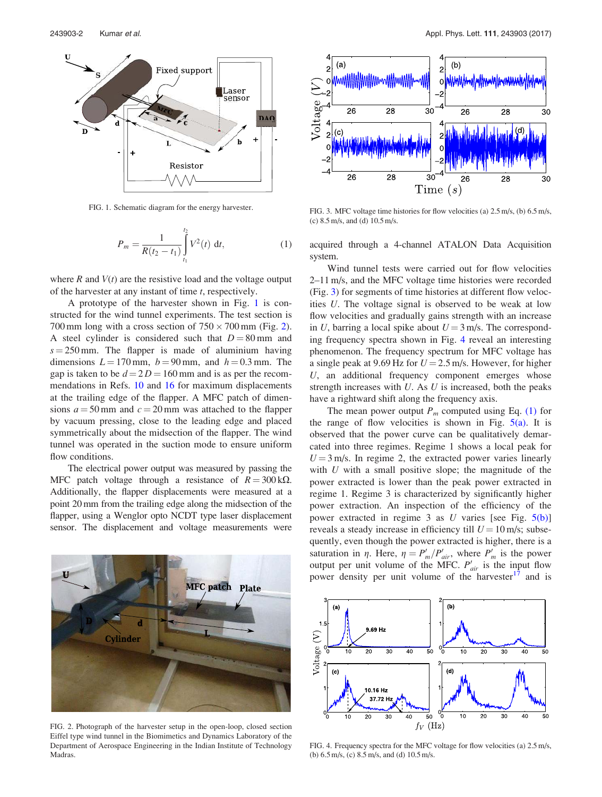

FIG. 1. Schematic diagram for the energy harvester.

$$
P_m = \frac{1}{R(t_2 - t_1)} \int_{t_1}^{t_2} V^2(t) \, \mathrm{d}t,\tag{1}
$$

where  $R$  and  $V(t)$  are the resistive load and the voltage output of the harvester at any instant of time *t*, respectively.

A prototype of the harvester shown in Fig. 1 is constructed for the wind tunnel experiments. The test section is 700 mm long with a cross section of  $750 \times 700$  mm (Fig. 2). A steel cylinder is considered such that  $D = 80$  mm and  $s = 250$  mm. The flapper is made of aluminium having dimensions  $L = 170$  mm,  $b = 90$  mm, and  $h = 0.3$  mm. The gap is taken to be  $d = 2D = 160$  mm and is as per the recommendations in Refs. 10 and 16 for maximum displacements at the trailing edge of the flapper. A MFC patch of dimensions  $a = 50$  mm and  $c = 20$  mm was attached to the flapper by vacuum pressing, close to the leading edge and placed symmetrically about the midsection of the flapper. The wind tunnel was operated in the suction mode to ensure uniform flow conditions.

The electrical power output was measured by passing the MFC patch voltage through a resistance of  $R = 300 \text{ k}\Omega$ . Additionally, the flapper displacements were measured at a point 20 mm from the trailing edge along the midsection of the flapper, using a Wenglor opto NCDT type laser displacement sensor. The displacement and voltage measurements were



FIG. 2. Photograph of the harvester setup in the open-loop, closed section Eiffel type wind tunnel in the Biomimetics and Dynamics Laboratory of the Department of Aerospace Engineering in the Indian Institute of Technology Madras.



FIG. 3. MFC voltage time histories for flow velocities (a) 2.5 m/s, (b) 6.5 m/s, (c) 8.5 m/s, and (d) 10.5 m/s.

acquired through a 4-channel ATALON Data Acquisition system.

Wind tunnel tests were carried out for flow velocities 2–11 m/s, and the MFC voltage time histories were recorded (Fig. 3) for segments of time histories at different flow velocities *U*. The voltage signal is observed to be weak at low flow velocities and gradually gains strength with an increase in *U*, barring a local spike about  $U = 3$  m/s. The corresponding frequency spectra shown in Fig. 4 reveal an interesting phenomenon. The frequency spectrum for MFC voltage has a single peak at 9.69 Hz for  $U = 2.5$  m/s. However, for higher *U*, an additional frequency component emerges whose strength increases with *U*. As *U* is increased, both the peaks have a rightward shift along the frequency axis.

The mean power output  $P_m$  computed using Eq. (1) for the range of flow velocities is shown in Fig.  $5(a)$ . It is observed that the power curve can be qualitatively demarcated into three regimes. Regime 1 shows a local peak for  $U = 3$  m/s. In regime 2, the extracted power varies linearly with *U* with a small positive slope; the magnitude of the power extracted is lower than the peak power extracted in regime 1. Regime 3 is characterized by significantly higher power extraction. An inspection of the efficiency of the power extracted in regime 3 as *U* varies [see Fig. 5(b)] reveals a steady increase in efficiency till  $U = 10$  m/s; subsequently, even though the power extracted is higher, there is a saturation in  $\eta$ . Here,  $\eta = P'_m/P'_{air}$ , where  $P'_m$  is the power output per unit volume of the MFC.  $P'_{air}$  is the input flow power density per unit volume of the harvester<sup>17</sup> and is



FIG. 4. Frequency spectra for the MFC voltage for flow velocities (a) 2.5 m/s, (b) 6.5 m/s, (c) 8.5 m/s, and (d) 10.5 m/s.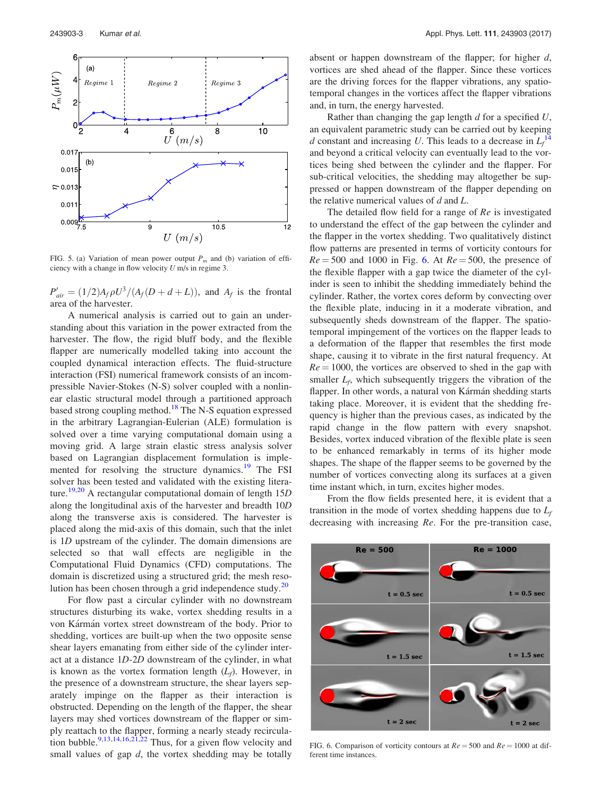

FIG. 5. (a) Variation of mean power output  $P_m$  and (b) variation of efficiency with a change in flow velocity *U* m/s in regime 3.

 $P'_{air} = (1/2)A_f \rho U^3/(A_f (D + d + L))$ , and  $A_f$  is the frontal area of the harvester.

A numerical analysis is carried out to gain an understanding about this variation in the power extracted from the harvester. The flow, the rigid bluff body, and the flexible flapper are numerically modelled taking into account the coupled dynamical interaction effects. The fluid-structure interaction (FSI) numerical framework consists of an incompressible Navier-Stokes (N-S) solver coupled with a nonlinear elastic structural model through a partitioned approach based strong coupling method.<sup>18</sup> The N-S equation expressed in the arbitrary Lagrangian-Eulerian (ALE) formulation is solved over a time varying computational domain using a moving grid. A large strain elastic stress analysis solver based on Lagrangian displacement formulation is implemented for resolving the structure dynamics.<sup>19</sup> The FSI solver has been tested and validated with the existing literature.19,20 A rectangular computational domain of length 15*D* along the longitudinal axis of the harvester and breadth 10*D* along the transverse axis is considered. The harvester is placed along the mid-axis of this domain, such that the inlet is 1*D* upstream of the cylinder. The domain dimensions are selected so that wall effects are negligible in the Computational Fluid Dynamics (CFD) computations. The domain is discretized using a structured grid; the mesh resolution has been chosen through a grid independence study. $20$ 

For flow past a circular cylinder with no downstream structures disturbing its wake, vortex shedding results in a von Kármán vortex street downstream of the body. Prior to shedding, vortices are built-up when the two opposite sense shear layers emanating from either side of the cylinder interact at a distance 1*D*-2*D* downstream of the cylinder, in what is known as the vortex formation length (*L<sup>f</sup>* ). However, in the presence of a downstream structure, the shear layers separately impinge on the flapper as their interaction is obstructed. Depending on the length of the flapper, the shear layers may shed vortices downstream of the flapper or simply reattach to the flapper, forming a nearly steady recirculation bubble.<sup>9,13,14,16,21,22</sup> Thus, for a given flow velocity and small values of gap *d*, the vortex shedding may be totally absent or happen downstream of the flapper; for higher *d*, vortices are shed ahead of the flapper. Since these vortices are the driving forces for the flapper vibrations, any spatiotemporal changes in the vortices affect the flapper vibrations and, in turn, the energy harvested.

Rather than changing the gap length *d* for a specified *U*, an equivalent parametric study can be carried out by keeping *d* constant and increasing *U*. This leads to a decrease in  $L_f^{14}$ and beyond a critical velocity can eventually lead to the vortices being shed between the cylinder and the flapper. For sub-critical velocities, the shedding may altogether be suppressed or happen downstream of the flapper depending on the relative numerical values of *d* and *L*.

The detailed flow field for a range of *Re* is investigated to understand the effect of the gap between the cylinder and the flapper in the vortex shedding. Two qualitatively distinct flow patterns are presented in terms of vorticity contours for  $Re = 500$  and 1000 in Fig. 6. At  $Re = 500$ , the presence of the flexible flapper with a gap twice the diameter of the cylinder is seen to inhibit the shedding immediately behind the cylinder. Rather, the vortex cores deform by convecting over the flexible plate, inducing in it a moderate vibration, and subsequently sheds downstream of the flapper. The spatiotemporal impingement of the vortices on the flapper leads to a deformation of the flapper that resembles the first mode shape, causing it to vibrate in the first natural frequency. At  $Re = 1000$ , the vortices are observed to shed in the gap with smaller  $L_f$ , which subsequently triggers the vibration of the flapper. In other words, a natural von Kármán shedding starts taking place. Moreover, it is evident that the shedding frequency is higher than the previous cases, as indicated by the rapid change in the flow pattern with every snapshot. Besides, vortex induced vibration of the flexible plate is seen to be enhanced remarkably in terms of its higher mode shapes. The shape of the flapper seems to be governed by the number of vortices convecting along its surfaces at a given time instant which, in turn, excites higher modes.

From the flow fields presented here, it is evident that a transition in the mode of vortex shedding happens due to  $L_f$ decreasing with increasing *Re*. For the pre-transition case,



FIG. 6. Comparison of vorticity contours at  $Re = 500$  and  $Re = 1000$  at different time instances.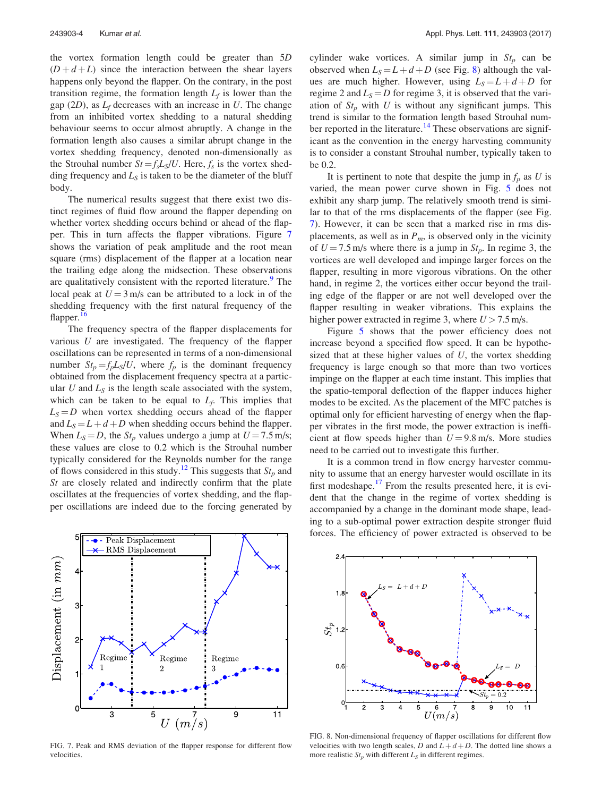the vortex formation length could be greater than 5*D*  $(D+d+L)$  since the interaction between the shear layers happens only beyond the flapper. On the contrary, in the post transition regime, the formation length  $L_f$  is lower than the gap  $(2D)$ , as  $L_f$  decreases with an increase in *U*. The change from an inhibited vortex shedding to a natural shedding behaviour seems to occur almost abruptly. A change in the formation length also causes a similar abrupt change in the vortex shedding frequency, denoted non-dimensionally as the Strouhal number  $St = f_s L_s/U$ . Here,  $f_s$  is the vortex shedding frequency and  $L<sub>S</sub>$  is taken to be the diameter of the bluff body.

The numerical results suggest that there exist two distinct regimes of fluid flow around the flapper depending on whether vortex shedding occurs behind or ahead of the flapper. This in turn affects the flapper vibrations. Figure 7 shows the variation of peak amplitude and the root mean square (rms) displacement of the flapper at a location near the trailing edge along the midsection. These observations are qualitatively consistent with the reported literature.<sup>9</sup> The local peak at  $U = 3$  m/s can be attributed to a lock in of the shedding frequency with the first natural frequency of the flapper.<sup>16</sup>

The frequency spectra of the flapper displacements for various *U* are investigated. The frequency of the flapper oscillations can be represented in terms of a non-dimensional number  $St_p = f_p L_s/U$ , where  $f_p$  is the dominant frequency obtained from the displacement frequency spectra at a particular  $U$  and  $L<sub>S</sub>$  is the length scale associated with the system, which can be taken to be equal to  $L_f$ . This implies that  $L<sub>S</sub>=D$  when vortex shedding occurs ahead of the flapper and  $L_s = L + d + D$  when shedding occurs behind the flapper. When  $L_s = D$ , the  $St_p$  values undergo a jump at  $U = 7.5$  m/s; these values are close to 0.2 which is the Strouhal number typically considered for the Reynolds number for the range of flows considered in this study.<sup>12</sup> This suggests that  $St_p$  and *St* are closely related and indirectly confirm that the plate oscillates at the frequencies of vortex shedding, and the flapper oscillations are indeed due to the forcing generated by



FIG. 7. Peak and RMS deviation of the flapper response for different flow velocities.

cylinder wake vortices. A similar jump in *St<sup>p</sup>* can be observed when  $L_s = L + d + D$  (see Fig. 8) although the values are much higher. However, using  $L<sub>S</sub> = L + d + D$  for regime 2 and  $L_s = D$  for regime 3, it is observed that the variation of  $St_p$  with  $U$  is without any significant jumps. This trend is similar to the formation length based Strouhal number reported in the literature.<sup>14</sup> These observations are significant as the convention in the energy harvesting community is to consider a constant Strouhal number, typically taken to be 0.2.

It is pertinent to note that despite the jump in  $f_p$  as  $U$  is varied, the mean power curve shown in Fig. 5 does not exhibit any sharp jump. The relatively smooth trend is similar to that of the rms displacements of the flapper (see Fig. 7). However, it can be seen that a marked rise in rms displacements, as well as in  $P_m$ , is observed only in the vicinity of  $U = 7.5$  m/s where there is a jump in  $St<sub>p</sub>$ . In regime 3, the vortices are well developed and impinge larger forces on the flapper, resulting in more vigorous vibrations. On the other hand, in regime 2, the vortices either occur beyond the trailing edge of the flapper or are not well developed over the flapper resulting in weaker vibrations. This explains the higher power extracted in regime 3, where  $U > 7.5$  m/s.

Figure 5 shows that the power efficiency does not increase beyond a specified flow speed. It can be hypothesized that at these higher values of *U*, the vortex shedding frequency is large enough so that more than two vortices impinge on the flapper at each time instant. This implies that the spatio-temporal deflection of the flapper induces higher modes to be excited. As the placement of the MFC patches is optimal only for efficient harvesting of energy when the flapper vibrates in the first mode, the power extraction is inefficient at flow speeds higher than  $U = 9.8$  m/s. More studies need to be carried out to investigate this further.

It is a common trend in flow energy harvester community to assume that an energy harvester would oscillate in its first modeshape. $17$  From the results presented here, it is evident that the change in the regime of vortex shedding is accompanied by a change in the dominant mode shape, leading to a sub-optimal power extraction despite stronger fluid forces. The efficiency of power extracted is observed to be



FIG. 8. Non-dimensional frequency of flapper oscillations for different flow velocities with two length scales, *D* and  $L + d + D$ . The dotted line shows a more realistic  $St_p$  with different  $L_S$  in different regimes.